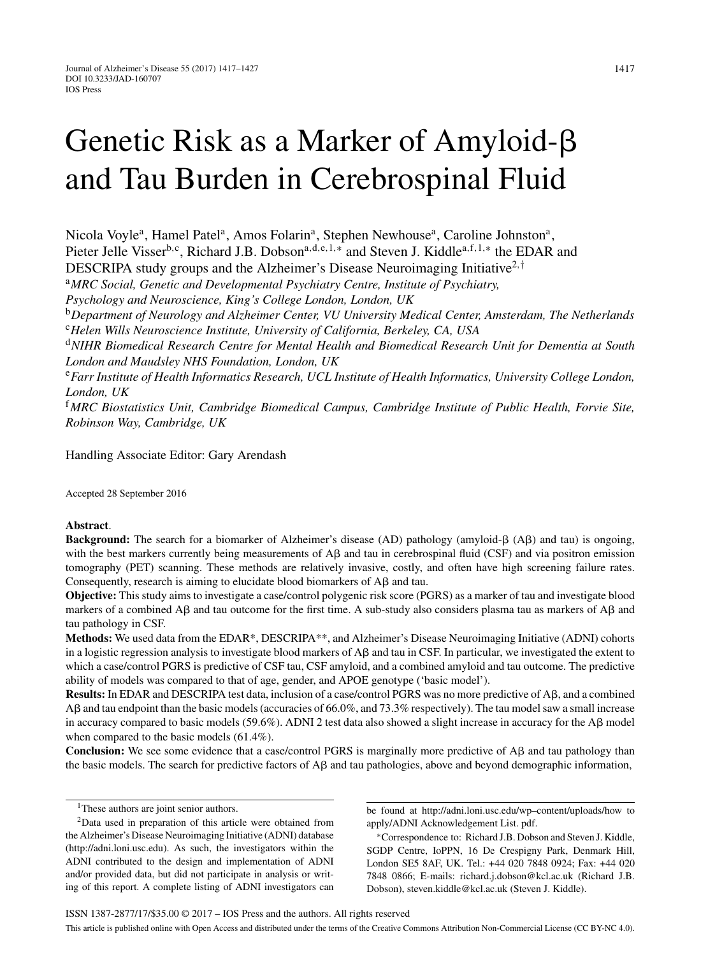# Genetic Risk as a Marker of Amyloid- $\beta$ and Tau Burden in Cerebrospinal Fluid

Nicola Voyle<sup>a</sup>, Hamel Patel<sup>a</sup>, Amos Folarin<sup>a</sup>, Stephen Newhouse<sup>a</sup>, Caroline Johnston<sup>a</sup>, Pieter Jelle Visser<sup>b,c</sup>, Richard J.B. Dobson<sup>a,d,e,1,\*</sup> and Steven J. Kiddle<sup>a,f,1,\*</sup> the EDAR and DESCRIPA study groups and the Alzheimer's Disease Neuroimaging Initiative<sup>2,†</sup>

<sup>a</sup>*MRC Social, Genetic and Developmental Psychiatry Centre, Institute of Psychiatry,*

*Psychology and Neuroscience, King's College London, London, UK*

<sup>b</sup>*Department of Neurology and Alzheimer Center, VU University Medical Center, Amsterdam, The Netherlands* <sup>c</sup>*Helen Wills Neuroscience Institute, University of California, Berkeley, CA, USA*

<sup>d</sup>*NIHR Biomedical Research Centre for Mental Health and Biomedical Research Unit for Dementia at South London and Maudsley NHS Foundation, London, UK*

<sup>e</sup>*Farr Institute of Health Informatics Research, UCL Institute of Health Informatics, University College London, London, UK*

<sup>f</sup>*MRC Biostatistics Unit, Cambridge Biomedical Campus, Cambridge Institute of Public Health, Forvie Site, Robinson Way, Cambridge, UK*

Handling Associate Editor: Gary Arendash

Accepted 28 September 2016

## **Abstract**.

**Background:** The search for a biomarker of Alzheimer's disease (AD) pathology (amyloid- $\beta$  (A $\beta$ ) and tau) is ongoing, with the best markers currently being measurements of  $\text{A}\beta$  and tau in cerebrospinal fluid (CSF) and via positron emission tomography (PET) scanning. These methods are relatively invasive, costly, and often have high screening failure rates. Consequently, research is aiming to elucidate blood biomarkers of  $A\beta$  and tau.

**Objective:** This study aims to investigate a case/control polygenic risk score (PGRS) as a marker of tau and investigate blood markers of a combined A $\beta$  and tau outcome for the first time. A sub-study also considers plasma tau as markers of A $\beta$  and tau pathology in CSF.

**Methods:** We used data from the EDAR\*, DESCRIPA\*\*, and Alzheimer's Disease Neuroimaging Initiative (ADNI) cohorts in a logistic regression analysis to investigate blood markers of  $\mathsf{A}\beta$  and tau in CSF. In particular, we investigated the extent to which a case/control PGRS is predictive of CSF tau, CSF amyloid, and a combined amyloid and tau outcome. The predictive ability of models was compared to that of age, gender, and APOE genotype ('basic model').

Results: In EDAR and DESCRIPA test data, inclusion of a case/control PGRS was no more predictive of A $\beta$ , and a combined A $\beta$  and tau endpoint than the basic models (accuracies of 66.0%, and 73.3% respectively). The tau model saw a small increase in accuracy compared to basic models  $(59.6\%)$ . ADNI 2 test data also showed a slight increase in accuracy for the A $\beta$  model when compared to the basic models (61.4%).

**Conclusion:** We see some evidence that a case/control PGRS is marginally more predictive of  $\mathsf{A}\beta$  and tau pathology than the basic models. The search for predictive factors of  $\beta \beta$  and tau pathologies, above and beyond demographic information,

be found at<http://adni.loni.usc.edu/wp>–content/uploads/how to apply/ADNI Acknowledgement List. pdf.

∗Correspondence to: Richard J.B. Dobson and Steven J. Kiddle, SGDP Centre, IoPPN, 16 De Crespigny Park, Denmark Hill, London SE5 8AF, UK. Tel.: +44 020 7848 0924; Fax: +44 020 7848 0866; E-mails: [richard.j.dobson@kcl.ac.uk](mailto:richard.j.dobson@kcl.ac.uk) (Richard J.B. Dobson), [steven.kiddle@kcl.ac.uk](mailto:steven.kiddle@kcl.ac.uk) (Steven J. Kiddle).

<sup>&</sup>lt;sup>1</sup>These authors are joint senior authors.

<sup>2</sup>Data used in preparation of this article were obtained from the Alzheimer's Disease Neuroimaging Initiative (ADNI) database ([http://adni.loni.usc.edu\)](http://adni.loni.usc.edu). As such, the investigators within the ADNI contributed to the design and implementation of ADNI and/or provided data, but did not participate in analysis or writing of this report. A complete listing of ADNI investigators can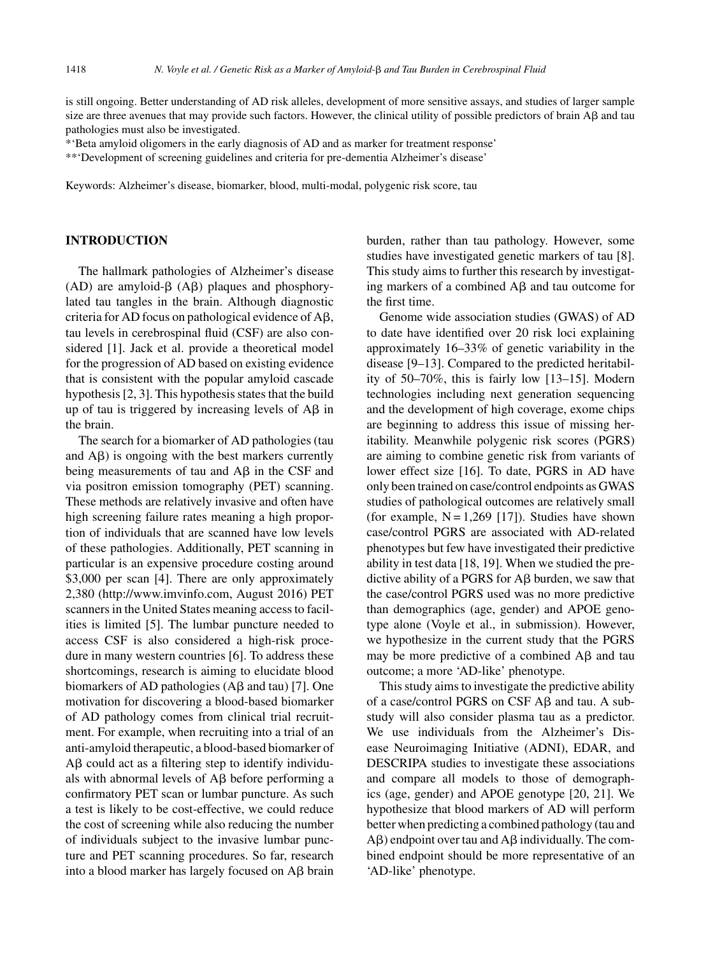is still ongoing. Better understanding of AD risk alleles, development of more sensitive assays, and studies of larger sample size are three avenues that may provide such factors. However, the clinical utility of possible predictors of brain A $\beta$  and tau pathologies must also be investigated.

\*'Beta amyloid oligomers in the early diagnosis of AD and as marker for treatment response'

\*\*'Development of screening guidelines and criteria for pre-dementia Alzheimer's disease'

Keywords: Alzheimer's disease, biomarker, blood, multi-modal, polygenic risk score, tau

# **INTRODUCTION**

The hallmark pathologies of Alzheimer's disease (AD) are amyloid- $\beta$  (A $\beta$ ) plaques and phosphorylated tau tangles in the brain. Although diagnostic criteria for AD focus on pathological evidence of  $A\beta$ , tau levels in cerebrospinal fluid (CSF) are also considered [1]. Jack et al. provide a theoretical model for the progression of AD based on existing evidence that is consistent with the popular amyloid cascade hypothesis [2, 3]. This hypothesis states that the build up of tau is triggered by increasing levels of  $A\beta$  in the brain.

The search for a biomarker of AD pathologies (tau and  $A\beta$ ) is ongoing with the best markers currently being measurements of tau and  $\overrightarrow{AB}$  in the CSF and via positron emission tomography (PET) scanning. These methods are relatively invasive and often have high screening failure rates meaning a high proportion of individuals that are scanned have low levels of these pathologies. Additionally, PET scanning in particular is an expensive procedure costing around \$3,000 per scan [4]. There are only approximately 2,380 (<http://www.imvinfo.com>, August 2016) PET scanners in the United States meaning access to facilities is limited [5]. The lumbar puncture needed to access CSF is also considered a high-risk procedure in many western countries [6]. To address these shortcomings, research is aiming to elucidate blood biomarkers of AD pathologies ( $\text{A}\beta$  and tau) [7]. One motivation for discovering a blood-based biomarker of AD pathology comes from clinical trial recruitment. For example, when recruiting into a trial of an anti-amyloid therapeutic, a blood-based biomarker of  $A\beta$  could act as a filtering step to identify individuals with abnormal levels of  $A\beta$  before performing a confirmatory PET scan or lumbar puncture. As such a test is likely to be cost-effective, we could reduce the cost of screening while also reducing the number of individuals subject to the invasive lumbar puncture and PET scanning procedures. So far, research into a blood marker has largely focused on  $\mathsf{A}\mathsf{B}$  brain

burden, rather than tau pathology. However, some studies have investigated genetic markers of tau [8]. This study aims to further this research by investigating markers of a combined  $\text{A}\beta$  and tau outcome for the first time.

Genome wide association studies (GWAS) of AD to date have identified over 20 risk loci explaining approximately 16–33% of genetic variability in the disease [9–13]. Compared to the predicted heritability of 50–70%, this is fairly low [13–15]. Modern technologies including next generation sequencing and the development of high coverage, exome chips are beginning to address this issue of missing heritability. Meanwhile polygenic risk scores (PGRS) are aiming to combine genetic risk from variants of lower effect size [16]. To date, PGRS in AD have only been trained on case/control endpoints as GWAS studies of pathological outcomes are relatively small (for example,  $N = 1,269$  [17]). Studies have shown case/control PGRS are associated with AD-related phenotypes but few have investigated their predictive ability in test data [18, 19]. When we studied the predictive ability of a PGRS for  $A\beta$  burden, we saw that the case/control PGRS used was no more predictive than demographics (age, gender) and APOE genotype alone (Voyle et al., in submission). However, we hypothesize in the current study that the PGRS may be more predictive of a combined  $\text{A}\beta$  and tau outcome; a more 'AD-like' phenotype.

This study aims to investigate the predictive ability of a case/control PGRS on CSF  $\text{A}\beta$  and tau. A substudy will also consider plasma tau as a predictor. We use individuals from the Alzheimer's Disease Neuroimaging Initiative (ADNI), EDAR, and DESCRIPA studies to investigate these associations and compare all models to those of demographics (age, gender) and APOE genotype [20, 21]. We hypothesize that blood markers of AD will perform better when predicting a combined pathology (tau and  $\text{A}\beta$ ) endpoint over tau and  $\text{A}\beta$  individually. The combined endpoint should be more representative of an 'AD-like' phenotype.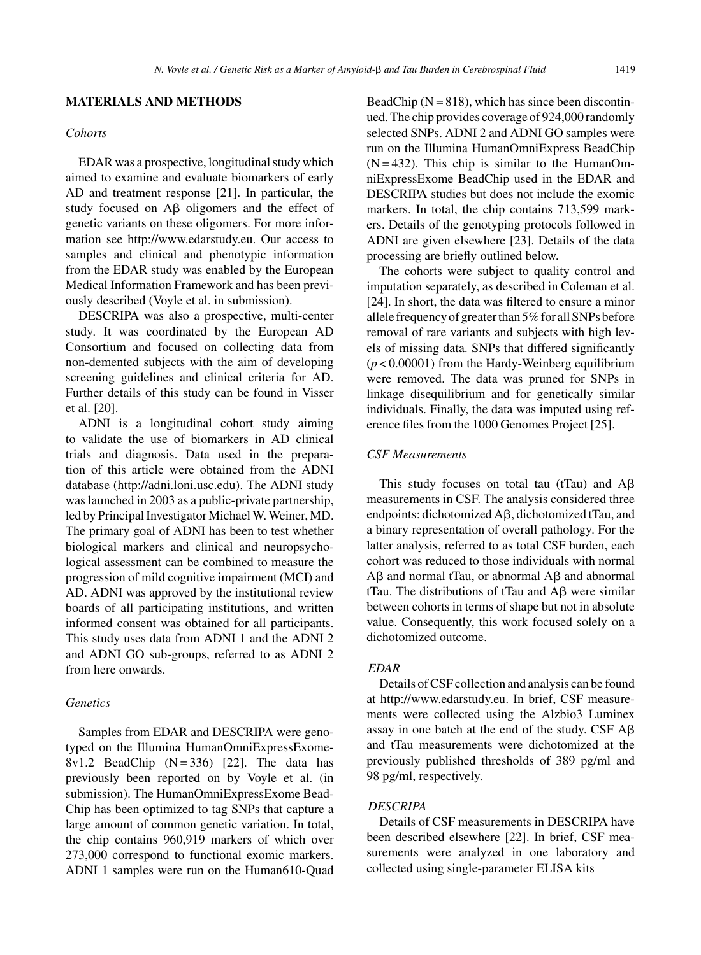## **MATERIALS AND METHODS**

## *Cohorts*

EDAR was a prospective, longitudinal study which aimed to examine and evaluate biomarkers of early AD and treatment response [21]. In particular, the study focused on  $\mathsf{A}\beta$  oligomers and the effect of genetic variants on these oligomers. For more information see<http://www.edarstudy.eu>. Our access to samples and clinical and phenotypic information from the EDAR study was enabled by the European Medical Information Framework and has been previously described (Voyle et al. in submission).

DESCRIPA was also a prospective, multi-center study. It was coordinated by the European AD Consortium and focused on collecting data from non-demented subjects with the aim of developing screening guidelines and clinical criteria for AD. Further details of this study can be found in Visser et al. [20].

ADNI is a longitudinal cohort study aiming to validate the use of biomarkers in AD clinical trials and diagnosis. Data used in the preparation of this article were obtained from the ADNI database [\(http://adni.loni.usc.edu](http://adni.loni.usc.edu)). The ADNI study was launched in 2003 as a public-private partnership, led by Principal Investigator Michael W. Weiner, MD. The primary goal of ADNI has been to test whether biological markers and clinical and neuropsychological assessment can be combined to measure the progression of mild cognitive impairment (MCI) and AD. ADNI was approved by the institutional review boards of all participating institutions, and written informed consent was obtained for all participants. This study uses data from ADNI 1 and the ADNI 2 and ADNI GO sub-groups, referred to as ADNI 2 from here onwards.

# *Genetics*

Samples from EDAR and DESCRIPA were genotyped on the Illumina HumanOmniExpressExome-8v1.2 BeadChip  $(N = 336)$  [22]. The data has previously been reported on by Voyle et al. (in submission). The HumanOmniExpressExome Bead-Chip has been optimized to tag SNPs that capture a large amount of common genetic variation. In total, the chip contains 960,919 markers of which over 273,000 correspond to functional exomic markers. ADNI 1 samples were run on the Human610-Quad

BeadChip  $(N = 818)$ , which has since been discontinued. The chip provides coverage of 924,000 randomly selected SNPs. ADNI 2 and ADNI GO samples were run on the Illumina HumanOmniExpress BeadChip  $(N = 432)$ . This chip is similar to the HumanOmniExpressExome BeadChip used in the EDAR and DESCRIPA studies but does not include the exomic markers. In total, the chip contains 713,599 markers. Details of the genotyping protocols followed in ADNI are given elsewhere [23]. Details of the data processing are briefly outlined below.

The cohorts were subject to quality control and imputation separately, as described in Coleman et al. [24]. In short, the data was filtered to ensure a minor allele frequency of greater than 5% for all SNPs before removal of rare variants and subjects with high levels of missing data. SNPs that differed significantly (*p* < 0.00001) from the Hardy-Weinberg equilibrium were removed. The data was pruned for SNPs in linkage disequilibrium and for genetically similar individuals. Finally, the data was imputed using reference files from the 1000 Genomes Project [25].

# *CSF Measurements*

This study focuses on total tau (tTau) and  $A\beta$ measurements in CSF. The analysis considered three endpoints: dichotomized  $\mathsf{A}\mathsf{B}$ , dichotomized tTau, and a binary representation of overall pathology. For the latter analysis, referred to as total CSF burden, each cohort was reduced to those individuals with normal  $A\beta$  and normal tTau, or abnormal  $A\beta$  and abnormal tTau. The distributions of tTau and  $A\beta$  were similar between cohorts in terms of shape but not in absolute value. Consequently, this work focused solely on a dichotomized outcome.

## *EDAR*

Details of CSF collection and analysis can be found at [http://www.edarstudy.eu.](http://www.edarstudy.eu) In brief, CSF measurements were collected using the Alzbio3 Luminex assay in one batch at the end of the study. CSF  $A\beta$ and tTau measurements were dichotomized at the previously published thresholds of 389 pg/ml and 98 pg/ml, respectively.

# *DESCRIPA*

Details of CSF measurements in DESCRIPA have been described elsewhere [22]. In brief, CSF measurements were analyzed in one laboratory and collected using single-parameter ELISA kits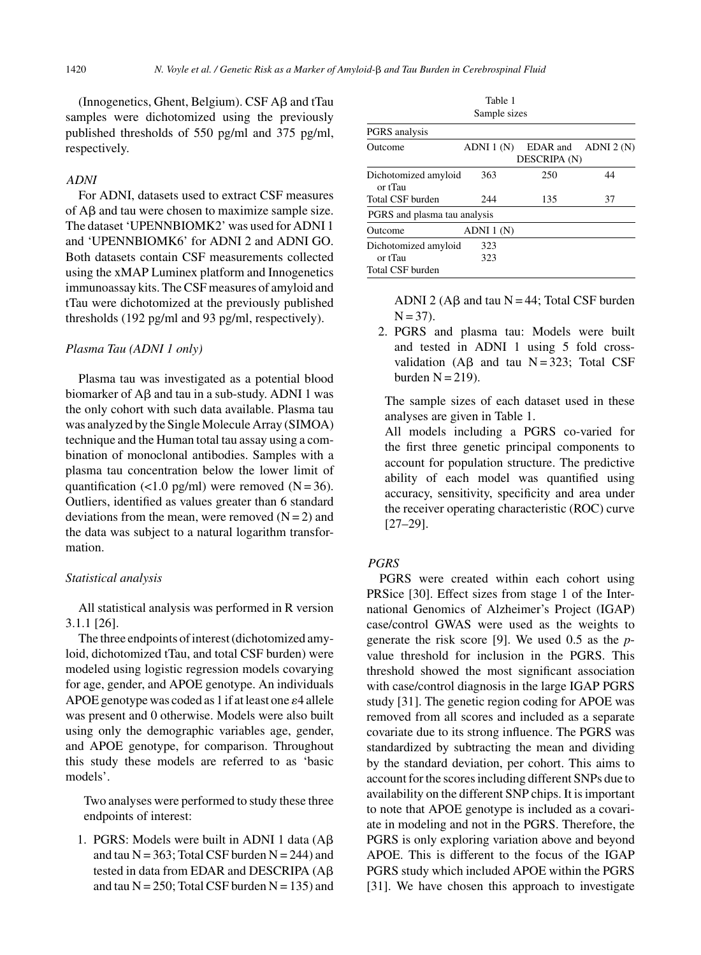$($ Innogenetics, Ghent, Belgium $)$ . CSF A $\beta$  and tTau samples were dichotomized using the previously published thresholds of 550 pg/ml and 375 pg/ml, respectively.

## *ADNI*

For ADNI, datasets used to extract CSF measures of  $\text{A}\beta$  and tau were chosen to maximize sample size. The dataset 'UPENNBIOMK2' was used for ADNI 1 and 'UPENNBIOMK6' for ADNI 2 and ADNI GO. Both datasets contain CSF measurements collected using the xMAP Luminex platform and Innogenetics immunoassay kits. The CSF measures of amyloid and tTau were dichotomized at the previously published thresholds (192 pg/ml and 93 pg/ml, respectively).

## *Plasma Tau (ADNI 1 only)*

Plasma tau was investigated as a potential blood biomarker of  $A\beta$  and tau in a sub-study. ADNI 1 was the only cohort with such data available. Plasma tau was analyzed by the Single Molecule Array (SIMOA) technique and the Human total tau assay using a combination of monoclonal antibodies. Samples with a plasma tau concentration below the lower limit of quantification (<1.0 pg/ml) were removed ( $N = 36$ ). Outliers, identified as values greater than 6 standard deviations from the mean, were removed  $(N = 2)$  and the data was subject to a natural logarithm transformation.

## *Statistical analysis*

All statistical analysis was performed in R version 3.1.1 [26].

The three endpoints of interest (dichotomized amyloid, dichotomized tTau, and total CSF burden) were modeled using logistic regression models covarying for age, gender, and APOE genotype. An individuals APOE genotype was coded as 1 if at least one  $\varepsilon$ 4 allele was present and 0 otherwise. Models were also built using only the demographic variables age, gender, and APOE genotype, for comparison. Throughout this study these models are referred to as 'basic models'.

Two analyses were performed to study these three endpoints of interest:

1. PGRS: Models were built in ADNI 1 data  $(A\beta)$ and tau  $N = 363$ ; Total CSF burden  $N = 244$ ) and tested in data from EDAR and DESCRIPA  $(A\beta)$ and tau  $N = 250$ ; Total CSF burden  $N = 135$ ) and

| Table 1      |  |
|--------------|--|
| Sample sizes |  |

| <b>Dample Siges</b>          |             |              |             |  |  |  |  |  |
|------------------------------|-------------|--------------|-------------|--|--|--|--|--|
| <b>PGRS</b> analysis         |             |              |             |  |  |  |  |  |
| Outcome                      | ADNI $1(N)$ | EDAR and     | ADNI $2(N)$ |  |  |  |  |  |
|                              |             | DESCRIPA (N) |             |  |  |  |  |  |
| Dichotomized amyloid         | 363         | 250          | 44          |  |  |  |  |  |
| or tTau                      |             |              |             |  |  |  |  |  |
| Total CSF burden             | 244         | 135          | 37          |  |  |  |  |  |
| PGRS and plasma tau analysis |             |              |             |  |  |  |  |  |
| Outcome                      | ADNI $1(N)$ |              |             |  |  |  |  |  |
| Dichotomized amyloid         | 323         |              |             |  |  |  |  |  |
| or tTau                      | 323         |              |             |  |  |  |  |  |
| <b>Total CSF burden</b>      |             |              |             |  |  |  |  |  |

ADNI 2 ( $\overrightarrow{AB}$  and tau N = 44; Total CSF burden  $N = 37$ ).

2. PGRS and plasma tau: Models were built and tested in ADNI 1 using 5 fold crossvalidation ( $\overrightarrow{AB}$  and tau N = 323; Total CSF burden  $N = 219$ ).

The sample sizes of each dataset used in these analyses are given in Table 1.

All models including a PGRS co-varied for the first three genetic principal components to account for population structure. The predictive ability of each model was quantified using accuracy, sensitivity, specificity and area under the receiver operating characteristic (ROC) curve [27–29].

# *PGRS*

PGRS were created within each cohort using PRSice [30]. Effect sizes from stage 1 of the International Genomics of Alzheimer's Project (IGAP) case/control GWAS were used as the weights to generate the risk score [9]. We used 0.5 as the *p*value threshold for inclusion in the PGRS. This threshold showed the most significant association with case/control diagnosis in the large IGAP PGRS study [31]. The genetic region coding for APOE was removed from all scores and included as a separate covariate due to its strong influence. The PGRS was standardized by subtracting the mean and dividing by the standard deviation, per cohort. This aims to account for the scores including different SNPs due to availability on the different SNP chips. It is important to note that APOE genotype is included as a covariate in modeling and not in the PGRS. Therefore, the PGRS is only exploring variation above and beyond APOE. This is different to the focus of the IGAP PGRS study which included APOE within the PGRS [31]. We have chosen this approach to investigate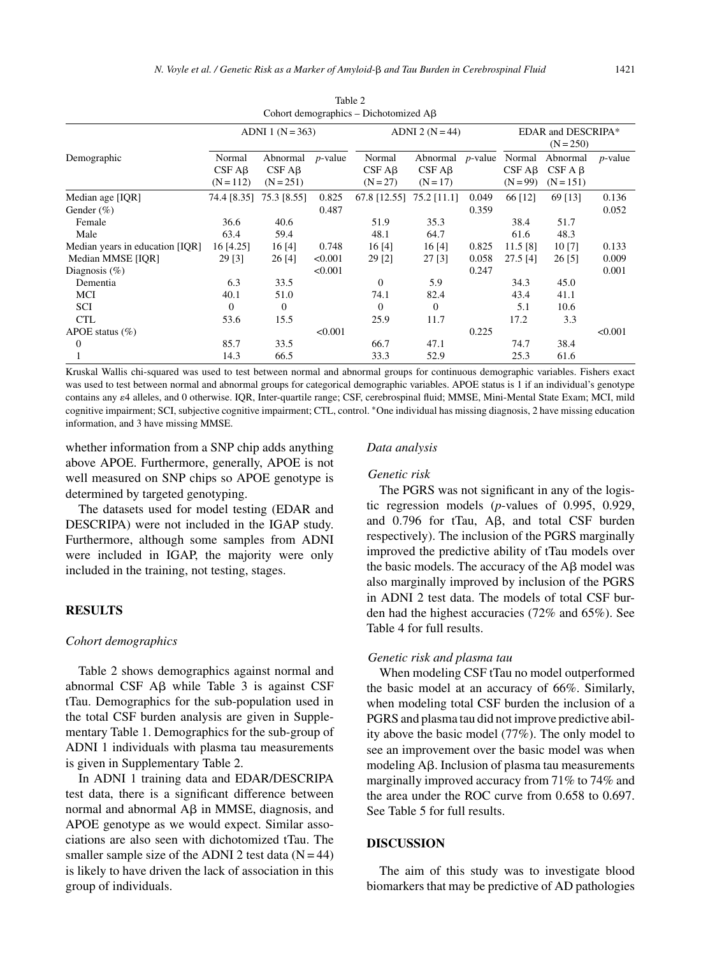| Cohort demographics – Dichotomized $\overrightarrow{AB}$ |                                |                                  |                   |                               |                                        |                                   |                               |                                          |            |
|----------------------------------------------------------|--------------------------------|----------------------------------|-------------------|-------------------------------|----------------------------------------|-----------------------------------|-------------------------------|------------------------------------------|------------|
|                                                          | ADNI 1 $(N = 363)$             |                                  | ADNI 2 $(N = 44)$ |                               |                                        | EDAR and DESCRIPA*<br>$(N = 250)$ |                               |                                          |            |
| Demographic                                              | Normal<br>CSFAB<br>$(N = 112)$ | Abnormal<br>CSFAB<br>$(N = 251)$ | $p$ -value        | Normal<br>CSFAB<br>$(N = 27)$ | Abnormal<br>$CSF A\beta$<br>$(N = 17)$ | $p$ -value                        | Normal<br>CSFAB<br>$(N = 99)$ | Abnormal<br>$CSF A \beta$<br>$(N = 151)$ | $p$ -value |
| Median age [IQR]                                         | 74.4 [8.35]                    | 75.3 [8.55]                      | 0.825             | 67.8 [12.55]                  | 75.2 [11.1]                            | 0.049                             | 66 [12]                       | 69 [13]                                  | 0.136      |
| Gender $(\% )$                                           |                                |                                  | 0.487             |                               |                                        | 0.359                             |                               |                                          | 0.052      |
| Female                                                   | 36.6                           | 40.6                             |                   | 51.9                          | 35.3                                   |                                   | 38.4                          | 51.7                                     |            |
| Male                                                     | 63.4                           | 59.4                             |                   | 48.1                          | 64.7                                   |                                   | 61.6                          | 48.3                                     |            |
| Median years in education [IQR]                          | 16 [4.25]                      | 16[4]                            | 0.748             | 16[4]                         | 16 [4]                                 | 0.825                             | 11.5 [8]                      | 10[7]                                    | 0.133      |
| Median MMSE [IQR]                                        | 29[3]                          | 26[4]                            | < 0.001           | 29[2]                         | 27[3]                                  | 0.058                             | 27.5 [4]                      | 26 [5]                                   | 0.009      |
| Diagnosis $(\%)$                                         |                                |                                  | < 0.001           |                               |                                        | 0.247                             |                               |                                          | 0.001      |
| Dementia                                                 | 6.3                            | 33.5                             |                   | $\Omega$                      | 5.9                                    |                                   | 34.3                          | 45.0                                     |            |
| MCI                                                      | 40.1                           | 51.0                             |                   | 74.1                          | 82.4                                   |                                   | 43.4                          | 41.1                                     |            |
| SCI                                                      | $\Omega$                       | $\mathbf{0}$                     |                   | $\Omega$                      | $\Omega$                               |                                   | 5.1                           | 10.6                                     |            |
| <b>CTL</b>                                               | 53.6                           | 15.5                             |                   | 25.9                          | 11.7                                   |                                   | 17.2                          | 3.3                                      |            |
| APOE status $(\% )$                                      |                                |                                  | < 0.001           |                               |                                        | 0.225                             |                               |                                          | < 0.001    |
| $\mathbf{0}$                                             | 85.7                           | 33.5                             |                   | 66.7                          | 47.1                                   |                                   | 74.7                          | 38.4                                     |            |
|                                                          | 14.3                           | 66.5                             |                   | 33.3                          | 52.9                                   |                                   | 25.3                          | 61.6                                     |            |

Table 2

Kruskal Wallis chi-squared was used to test between normal and abnormal groups for continuous demographic variables. Fishers exact was used to test between normal and abnormal groups for categorical demographic variables. APOE status is 1 if an individual's genotype contains any  $\varepsilon$ 4 alleles, and 0 otherwise. IQR, Inter-quartile range; CSF, cerebrospinal fluid; MMSE, Mini-Mental State Exam; MCI, mild cognitive impairment; SCI, subjective cognitive impairment; CTL, control. ∗One individual has missing diagnosis, 2 have missing education information, and 3 have missing MMSE.

whether information from a SNP chip adds anything above APOE. Furthermore, generally, APOE is not well measured on SNP chips so APOE genotype is determined by targeted genotyping.

The datasets used for model testing (EDAR and DESCRIPA) were not included in the IGAP study. Furthermore, although some samples from ADNI were included in IGAP, the majority were only included in the training, not testing, stages.

## **RESULTS**

#### *Cohort demographics*

Table 2 shows demographics against normal and abnormal CSF  $\overrightarrow{AB}$  while Table 3 is against CSF tTau. Demographics for the sub-population used in the total CSF burden analysis are given in Supplementary Table 1. Demographics for the sub-group of ADNI 1 individuals with plasma tau measurements is given in Supplementary Table 2.

In ADNI 1 training data and EDAR/DESCRIPA test data, there is a significant difference between normal and abnormal  $\overrightarrow{AB}$  in MMSE, diagnosis, and APOE genotype as we would expect. Similar associations are also seen with dichotomized tTau. The smaller sample size of the ADNI 2 test data  $(N = 44)$ is likely to have driven the lack of association in this group of individuals.

#### *Data analysis*

## *Genetic risk*

The PGRS was not significant in any of the logistic regression models (*p*-values of 0.995, 0.929, and  $0.796$  for tTau, A $\beta$ , and total CSF burden respectively). The inclusion of the PGRS marginally improved the predictive ability of tTau models over the basic models. The accuracy of the  $A\beta$  model was also marginally improved by inclusion of the PGRS in ADNI 2 test data. The models of total CSF burden had the highest accuracies (72% and 65%). See Table 4 for full results.

#### *Genetic risk and plasma tau*

When modeling CSF tTau no model outperformed the basic model at an accuracy of 66%. Similarly, when modeling total CSF burden the inclusion of a PGRS and plasma tau did not improve predictive ability above the basic model (77%). The only model to see an improvement over the basic model was when  $modeling$  A $\beta$ . Inclusion of plasma tau measurements marginally improved accuracy from 71% to 74% and the area under the ROC curve from 0.658 to 0.697. See Table 5 for full results.

## **DISCUSSION**

The aim of this study was to investigate blood biomarkers that may be predictive of AD pathologies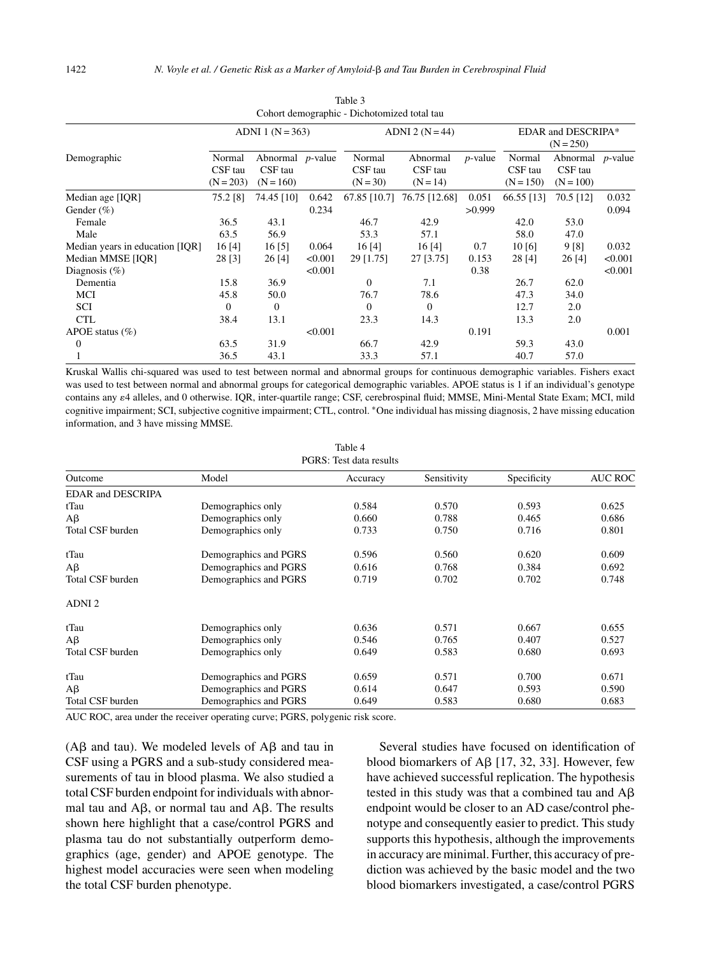| Cohort demographic - Dichotomized total tau |                                  |                                               |         |                                 |                                   |            |                                   |                                               |         |
|---------------------------------------------|----------------------------------|-----------------------------------------------|---------|---------------------------------|-----------------------------------|------------|-----------------------------------|-----------------------------------------------|---------|
|                                             | ADNI 1 $(N = 363)$               |                                               |         | $ADNI 2 (N = 44)$               |                                   |            | EDAR and DESCRIPA*<br>$(N = 250)$ |                                               |         |
| Demographic                                 | Normal<br>CSF tau<br>$(N = 203)$ | Abnormal $p$ -value<br>CSF tau<br>$(N = 160)$ |         | Normal<br>CSF tau<br>$(N = 30)$ | Abnormal<br>CSF tau<br>$(N = 14)$ | $p$ -value | Normal<br>CSF tau<br>$(N = 150)$  | Abnormal $p$ -value<br>CSF tau<br>$(N = 100)$ |         |
| Median age [IQR]                            | 75.2 [8]                         | 74.45 [10]                                    | 0.642   | 67.85 [10.7]                    | 76.75 [12.68]                     | 0.051      | 66.55 [13]                        | 70.5 [12]                                     | 0.032   |
| Gender $(\% )$                              |                                  |                                               | 0.234   |                                 |                                   | >0.999     |                                   |                                               | 0.094   |
| Female                                      | 36.5                             | 43.1                                          |         | 46.7                            | 42.9                              |            | 42.0                              | 53.0                                          |         |
| Male                                        | 63.5                             | 56.9                                          |         | 53.3                            | 57.1                              |            | 58.0                              | 47.0                                          |         |
| Median years in education [IQR]             | 16[4]                            | 16[5]                                         | 0.064   | 16[4]                           | 16[4]                             | 0.7        | 10[6]                             | 9 [8]                                         | 0.032   |
| Median MMSE [IOR]                           | 28 [3]                           | 26[4]                                         | < 0.001 | 29 [1.75]                       | 27 [3.75]                         | 0.153      | 28 [4]                            | 26[4]                                         | < 0.001 |
| Diagnosis $(\% )$                           |                                  |                                               | < 0.001 |                                 |                                   | 0.38       |                                   |                                               | < 0.001 |
| Dementia                                    | 15.8                             | 36.9                                          |         | $\Omega$                        | 7.1                               |            | 26.7                              | 62.0                                          |         |
| MCI                                         | 45.8                             | 50.0                                          |         | 76.7                            | 78.6                              |            | 47.3                              | 34.0                                          |         |
| SCI                                         | $\Omega$                         | $\Omega$                                      |         | $\Omega$                        | $\Omega$                          |            | 12.7                              | 2.0                                           |         |
| <b>CTL</b>                                  | 38.4                             | 13.1                                          |         | 23.3                            | 14.3                              |            | 13.3                              | 2.0                                           |         |
| APOE status $(\% )$                         |                                  |                                               | < 0.001 |                                 |                                   | 0.191      |                                   |                                               | 0.001   |
| $\Omega$                                    | 63.5                             | 31.9                                          |         | 66.7                            | 42.9                              |            | 59.3                              | 43.0                                          |         |
|                                             | 36.5                             | 43.1                                          |         | 33.3                            | 57.1                              |            | 40.7                              | 57.0                                          |         |

| Table 3                                     |  |  |  |  |  |  |
|---------------------------------------------|--|--|--|--|--|--|
| Cohort demographic - Dichotomized total tau |  |  |  |  |  |  |

Kruskal Wallis chi-squared was used to test between normal and abnormal groups for continuous demographic variables. Fishers exact was used to test between normal and abnormal groups for categorical demographic variables. APOE status is 1 if an individual's genotype contains any  $\varepsilon$ 4 alleles, and 0 otherwise. IQR, inter-quartile range; CSF, cerebrospinal fluid; MMSE, Mini-Mental State Exam; MCI, mild cognitive impairment; SCI, subjective cognitive impairment; CTL, control. ∗One individual has missing diagnosis, 2 have missing education information, and 3 have missing MMSE.

Table 4

| <b>PGRS:</b> Test data results |                       |          |             |             |                |  |  |  |
|--------------------------------|-----------------------|----------|-------------|-------------|----------------|--|--|--|
| Outcome                        | Model                 | Accuracy | Sensitivity | Specificity | <b>AUC ROC</b> |  |  |  |
| <b>EDAR and DESCRIPA</b>       |                       |          |             |             |                |  |  |  |
| tTau                           | Demographics only     | 0.584    | 0.570       | 0.593       | 0.625          |  |  |  |
| Aβ                             | Demographics only     | 0.660    | 0.788       | 0.465       | 0.686          |  |  |  |
| <b>Total CSF burden</b>        | Demographics only     | 0.733    | 0.750       | 0.716       | 0.801          |  |  |  |
| tTau                           | Demographics and PGRS | 0.596    | 0.560       | 0.620       | 0.609          |  |  |  |
| Aβ                             | Demographics and PGRS | 0.616    | 0.768       | 0.384       | 0.692          |  |  |  |
| <b>Total CSF burden</b>        | Demographics and PGRS | 0.719    | 0.702       | 0.702       | 0.748          |  |  |  |
| ADNI <sub>2</sub>              |                       |          |             |             |                |  |  |  |
| tTau                           | Demographics only     | 0.636    | 0.571       | 0.667       | 0.655          |  |  |  |
| $\mathsf{A}\mathsf{B}$         | Demographics only     | 0.546    | 0.765       | 0.407       | 0.527          |  |  |  |
| Total CSF burden               | Demographics only     | 0.649    | 0.583       | 0.680       | 0.693          |  |  |  |
| tTau                           | Demographics and PGRS | 0.659    | 0.571       | 0.700       | 0.671          |  |  |  |
| $A\beta$                       | Demographics and PGRS | 0.614    | 0.647       | 0.593       | 0.590          |  |  |  |
| Total CSF burden               | Demographics and PGRS | 0.649    | 0.583       | 0.680       | 0.683          |  |  |  |

AUC ROC, area under the receiver operating curve; PGRS, polygenic risk score.

( $A\beta$  and tau). We modeled levels of  $A\beta$  and tau in CSF using a PGRS and a sub-study considered measurements of tau in blood plasma. We also studied a total CSF burden endpoint for individuals with abnormal tau and  $\text{A}\beta$ , or normal tau and  $\text{A}\beta$ . The results shown here highlight that a case/control PGRS and plasma tau do not substantially outperform demographics (age, gender) and APOE genotype. The highest model accuracies were seen when modeling the total CSF burden phenotype.

Several studies have focused on identification of blood biomarkers of A $\beta$  [17, 32, 33]. However, few have achieved successful replication. The hypothesis tested in this study was that a combined tau and  $A\beta$ endpoint would be closer to an AD case/control phenotype and consequently easier to predict. This study supports this hypothesis, although the improvements in accuracy are minimal. Further, this accuracy of prediction was achieved by the basic model and the two blood biomarkers investigated, a case/control PGRS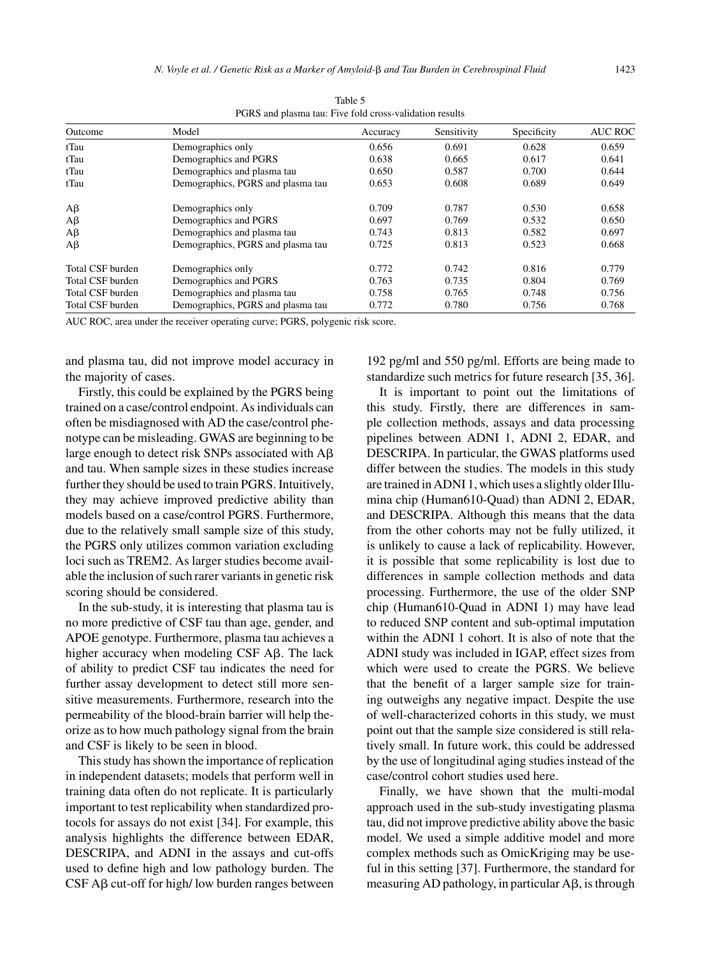| Outcome          | Model                             | Accuracy | Sensitivity | Specificity | <b>AUC ROC</b> |
|------------------|-----------------------------------|----------|-------------|-------------|----------------|
| tTau             | Demographics only                 | 0.656    | 0.691       | 0.628       | 0.659          |
| tTau             | Demographics and PGRS             | 0.638    | 0.665       | 0.617       | 0.641          |
| tTau             | Demographics and plasma tau       | 0.650    | 0.587       | 0.700       | 0.644          |
| tTau             | Demographics, PGRS and plasma tau | 0.653    | 0.608       | 0.689       | 0.649          |
| $A\beta$         | Demographics only                 | 0.709    | 0.787       | 0.530       | 0.658          |
| $A\beta$         | Demographics and PGRS             | 0.697    | 0.769       | 0.532       | 0.650          |
| $A\beta$         | Demographics and plasma tau       | 0.743    | 0.813       | 0.582       | 0.697          |
| Aβ               | Demographics, PGRS and plasma tau | 0.725    | 0.813       | 0.523       | 0.668          |
| Total CSF burden | Demographics only                 | 0.772    | 0.742       | 0.816       | 0.779          |
| Total CSF burden | Demographics and PGRS             | 0.763    | 0.735       | 0.804       | 0.769          |
| Total CSF burden | Demographics and plasma tau       | 0.758    | 0.765       | 0.748       | 0.756          |
| Total CSF burden | Demographics, PGRS and plasma tau | 0.772    | 0.780       | 0.756       | 0.768          |

Table 5 PGRS and plasma tau: Five fold cross-validation results

AUC ROC, area under the receiver operating curve; PGRS, polygenic risk score.

and plasma tau, did not improve model accuracy in the majority of cases.

Firstly, this could be explained by the PGRS being trained on a case/control endpoint. As individuals can often be misdiagnosed with AD the case/control phenotype can be misleading. GWAS are beginning to be large enough to detect risk SNPs associated with  $A\beta$ and tau. When sample sizes in these studies increase further they should be used to train PGRS. Intuitively, they may achieve improved predictive ability than models based on a case/control PGRS. Furthermore, due to the relatively small sample size of this study, the PGRS only utilizes common variation excluding loci such as TREM2. As larger studies become available the inclusion of such rarer variants in genetic risk scoring should be considered.

In the sub-study, it is interesting that plasma tau is no more predictive of CSF tau than age, gender, and APOE genotype. Furthermore, plasma tau achieves a higher accuracy when modeling CSF Aß. The lack of ability to predict CSF tau indicates the need for further assay development to detect still more sensitive measurements. Furthermore, research into the permeability of the blood-brain barrier will help theorize as to how much pathology signal from the brain and CSF is likely to be seen in blood.

This study has shown the importance of replication in independent datasets; models that perform well in training data often do not replicate. It is particularly important to test replicability when standardized protocols for assays do not exist [34]. For example, this analysis highlights the difference between EDAR, DESCRIPA, and ADNI in the assays and cut-offs used to define high and low pathology burden. The  $CSF$  A $\beta$  cut-off for high/low burden ranges between

192 pg/ml and 550 pg/ml. Efforts are being made to standardize such metrics for future research [35, 36].

It is important to point out the limitations of this study. Firstly, there are differences in sample collection methods, assays and data processing pipelines between ADNI 1, ADNI 2, EDAR, and DESCRIPA. In particular, the GWAS platforms used differ between the studies. The models in this study are trained in ADNI 1, which uses a slightly older Illumina chip (Human610-Quad) than ADNI 2, EDAR, and DESCRIPA. Although this means that the data from the other cohorts may not be fully utilized, it is unlikely to cause a lack of replicability. However, it is possible that some replicability is lost due to differences in sample collection methods and data processing. Furthermore, the use of the older SNP chip (Human610-Quad in ADNI 1) may have lead to reduced SNP content and sub-optimal imputation within the ADNI 1 cohort. It is also of note that the ADNI study was included in IGAP, effect sizes from which were used to create the PGRS. We believe that the benefit of a larger sample size for training outweighs any negative impact. Despite the use of well-characterized cohorts in this study, we must point out that the sample size considered is still relatively small. In future work, this could be addressed by the use of longitudinal aging studies instead of the case/control cohort studies used here.

Finally, we have shown that the multi-modal approach used in the sub-study investigating plasma tau, did not improve predictive ability above the basic model. We used a simple additive model and more complex methods such as OmicKriging may be useful in this setting [37]. Furthermore, the standard for measuring AD pathology, in particular  $\mathsf{A}\mathsf{B}$ , is through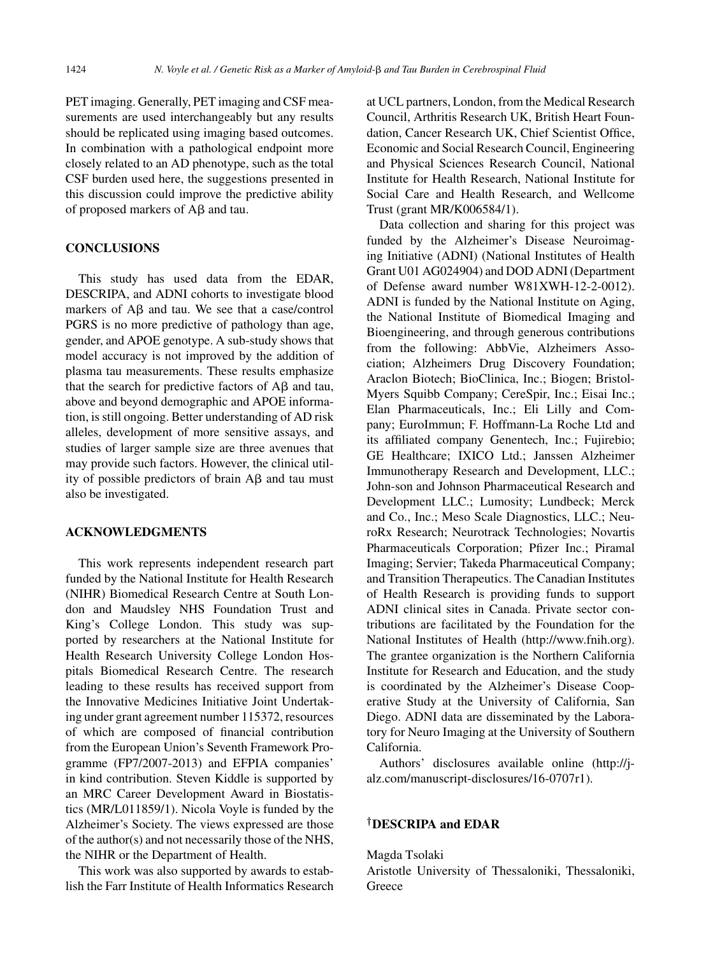PET imaging. Generally, PET imaging and CSF measurements are used interchangeably but any results should be replicated using imaging based outcomes. In combination with a pathological endpoint more closely related to an AD phenotype, such as the total CSF burden used here, the suggestions presented in this discussion could improve the predictive ability of proposed markers of  $A\beta$  and tau.

## **CONCLUSIONS**

This study has used data from the EDAR, DESCRIPA, and ADNI cohorts to investigate blood markers of  $\text{A}\beta$  and tau. We see that a case/control PGRS is no more predictive of pathology than age, gender, and APOE genotype. A sub-study shows that model accuracy is not improved by the addition of plasma tau measurements. These results emphasize that the search for predictive factors of  $A\beta$  and tau, above and beyond demographic and APOE information, is still ongoing. Better understanding of AD risk alleles, development of more sensitive assays, and studies of larger sample size are three avenues that may provide such factors. However, the clinical utility of possible predictors of brain  $A\beta$  and tau must also be investigated.

# **ACKNOWLEDGMENTS**

This work represents independent research part funded by the National Institute for Health Research (NIHR) Biomedical Research Centre at South London and Maudsley NHS Foundation Trust and King's College London. This study was supported by researchers at the National Institute for Health Research University College London Hospitals Biomedical Research Centre. The research leading to these results has received support from the Innovative Medicines Initiative Joint Undertaking under grant agreement number 115372, resources of which are composed of financial contribution from the European Union's Seventh Framework Programme (FP7/2007-2013) and EFPIA companies' in kind contribution. Steven Kiddle is supported by an MRC Career Development Award in Biostatistics (MR/L011859/1). Nicola Voyle is funded by the Alzheimer's Society. The views expressed are those of the author(s) and not necessarily those of the NHS, the NIHR or the Department of Health.

This work was also supported by awards to establish the Farr Institute of Health Informatics Research at UCL partners, London, from the Medical Research Council, Arthritis Research UK, British Heart Foundation, Cancer Research UK, Chief Scientist Office, Economic and Social Research Council, Engineering and Physical Sciences Research Council, National Institute for Health Research, National Institute for Social Care and Health Research, and Wellcome Trust (grant MR/K006584/1).

Data collection and sharing for this project was funded by the Alzheimer's Disease Neuroimaging Initiative (ADNI) (National Institutes of Health Grant U01 AG024904) and DOD ADNI (Department of Defense award number W81XWH-12-2-0012). ADNI is funded by the National Institute on Aging, the National Institute of Biomedical Imaging and Bioengineering, and through generous contributions from the following: AbbVie, Alzheimers Association; Alzheimers Drug Discovery Foundation; Araclon Biotech; BioClinica, Inc.; Biogen; Bristol-Myers Squibb Company; CereSpir, Inc.; Eisai Inc.; Elan Pharmaceuticals, Inc.; Eli Lilly and Company; EuroImmun; F. Hoffmann-La Roche Ltd and its affiliated company Genentech, Inc.; Fujirebio; GE Healthcare; IXICO Ltd.; Janssen Alzheimer Immunotherapy Research and Development, LLC.; John-son and Johnson Pharmaceutical Research and Development LLC.; Lumosity; Lundbeck; Merck and Co., Inc.; Meso Scale Diagnostics, LLC.; NeuroRx Research; Neurotrack Technologies; Novartis Pharmaceuticals Corporation; Pfizer Inc.; Piramal Imaging; Servier; Takeda Pharmaceutical Company; and Transition Therapeutics. The Canadian Institutes of Health Research is providing funds to support ADNI clinical sites in Canada. Private sector contributions are facilitated by the Foundation for the National Institutes of Health [\(http://www.fnih.org](http://www.fnih.org)). The grantee organization is the Northern California Institute for Research and Education, and the study is coordinated by the Alzheimer's Disease Cooperative Study at the University of California, San Diego. ADNI data are disseminated by the Laboratory for Neuro Imaging at the University of Southern California.

Authors' disclosures available online [\(http://j](http://j-alz.com/manuscript-disclosures/16-0707r1)alz.com/manuscript-disclosures/16-0707r1).

## *†***DESCRIPA and EDAR**

Magda Tsolaki

Aristotle University of Thessaloniki, Thessaloniki, Greece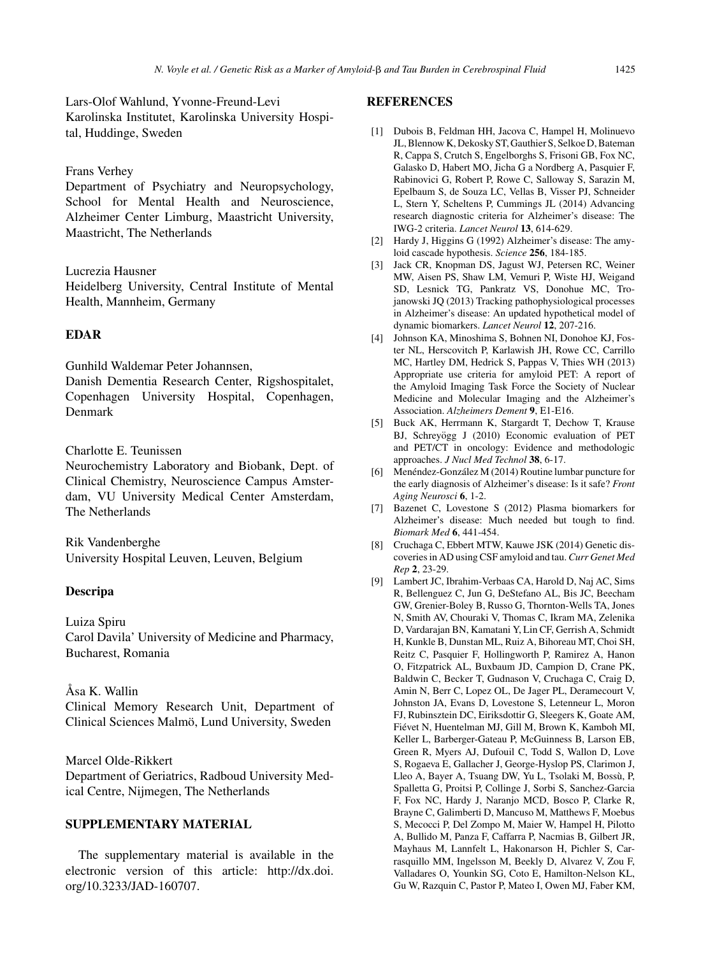Lars-Olof Wahlund, Yvonne-Freund-Levi

Karolinska Institutet, Karolinska University Hospital, Huddinge, Sweden

## Frans Verhey

Department of Psychiatry and Neuropsychology, School for Mental Health and Neuroscience, Alzheimer Center Limburg, Maastricht University, Maastricht, The Netherlands

## Lucrezia Hausner

Heidelberg University, Central Institute of Mental Health, Mannheim, Germany

# **EDAR**

Gunhild Waldemar Peter Johannsen,

Danish Dementia Research Center, Rigshospitalet, Copenhagen University Hospital, Copenhagen, Denmark

# Charlotte E. Teunissen

Neurochemistry Laboratory and Biobank, Dept. of Clinical Chemistry, Neuroscience Campus Amsterdam, VU University Medical Center Amsterdam, The Netherlands

Rik Vandenberghe University Hospital Leuven, Leuven, Belgium

## **Descripa**

Luiza Spiru Carol Davila' University of Medicine and Pharmacy, Bucharest, Romania

Åsa K. Wallin

Clinical Memory Research Unit, Department of Clinical Sciences Malmö, Lund University, Sweden

Marcel Olde-Rikkert

Department of Geriatrics, Radboud University Medical Centre, Nijmegen, The Netherlands

# **SUPPLEMENTARY MATERIAL**

The supplementary material is available in the electronic version of this article: [http://dx.doi.](http://dx.doi.org/10.3233/JAD-160707) [org/10.3233/JAD-160707.](http://dx.doi.org/10.3233/JAD-160707)

## **REFERENCES**

- [1] Dubois B, Feldman HH, Jacova C, Hampel H, Molinuevo JL, Blennow K, Dekosky ST, Gauthier S, Selkoe D, Bateman R, Cappa S, Crutch S, Engelborghs S, Frisoni GB, Fox NC, Galasko D, Habert MO, Jicha G a Nordberg A, Pasquier F, Rabinovici G, Robert P, Rowe C, Salloway S, Sarazin M, Epelbaum S, de Souza LC, Vellas B, Visser PJ, Schneider L, Stern Y, Scheltens P, Cummings JL (2014) Advancing research diagnostic criteria for Alzheimer's disease: The IWG-2 criteria. *Lancet Neurol* **13**, 614-629.
- [2] Hardy J, Higgins G (1992) Alzheimer's disease: The amyloid cascade hypothesis. *Science* **256**, 184-185.
- [3] Jack CR, Knopman DS, Jagust WJ, Petersen RC, Weiner MW, Aisen PS, Shaw LM, Vemuri P, Wiste HJ, Weigand SD, Lesnick TG, Pankratz VS, Donohue MC, Trojanowski JQ (2013) Tracking pathophysiological processes in Alzheimer's disease: An updated hypothetical model of dynamic biomarkers. *Lancet Neurol* **12**, 207-216.
- [4] Johnson KA, Minoshima S, Bohnen NI, Donohoe KJ, Foster NL, Herscovitch P, Karlawish JH, Rowe CC, Carrillo MC, Hartley DM, Hedrick S, Pappas V, Thies WH (2013) Appropriate use criteria for amyloid PET: A report of the Amyloid Imaging Task Force the Society of Nuclear Medicine and Molecular Imaging and the Alzheimer's Association. *Alzheimers Dement* **9**, E1-E16.
- [5] Buck AK, Herrmann K, Stargardt T, Dechow T, Krause BJ, Schreyögg J (2010) Economic evaluation of PET and PET/CT in oncology: Evidence and methodologic approaches. *J Nucl Med Technol* **38**, 6-17.
- $[6]$  Menéndez-González M (2014) Routine lumbar puncture for the early diagnosis of Alzheimer's disease: Is it safe? *Front Aging Neurosci* **6**, 1-2.
- [7] Bazenet C, Lovestone S (2012) Plasma biomarkers for Alzheimer's disease: Much needed but tough to find. *Biomark Med* **6**, 441-454.
- [8] Cruchaga C, Ebbert MTW, Kauwe JSK (2014) Genetic discoveries in AD using CSF amyloid and tau. *Curr Genet Med Rep* **2**, 23-29.
- [9] Lambert JC, Ibrahim-Verbaas CA, Harold D, Naj AC, Sims R, Bellenguez C, Jun G, DeStefano AL, Bis JC, Beecham GW, Grenier-Boley B, Russo G, Thornton-Wells TA, Jones N, Smith AV, Chouraki V, Thomas C, Ikram MA, Zelenika D, Vardarajan BN, Kamatani Y, Lin CF, Gerrish A, Schmidt H, Kunkle B, Dunstan ML, Ruiz A, Bihoreau MT, Choi SH, Reitz C, Pasquier F, Hollingworth P, Ramirez A, Hanon O, Fitzpatrick AL, Buxbaum JD, Campion D, Crane PK, Baldwin C, Becker T, Gudnason V, Cruchaga C, Craig D, Amin N, Berr C, Lopez OL, De Jager PL, Deramecourt V, Johnston JA, Evans D, Lovestone S, Letenneur L, Moron FJ, Rubinsztein DC, Eiriksdottir G, Sleegers K, Goate AM, Fiévet N, Huentelman MJ, Gill M, Brown K, Kamboh MI, Keller L, Barberger-Gateau P, McGuinness B, Larson EB, Green R, Myers AJ, Dufouil C, Todd S, Wallon D, Love S, Rogaeva E, Gallacher J, George-Hyslop PS, Clarimon J, Lleo A, Bayer A, Tsuang DW, Yu L, Tsolaki M, Bossù, P, Spalletta G, Proitsi P, Collinge J, Sorbi S, Sanchez-Garcia F, Fox NC, Hardy J, Naranjo MCD, Bosco P, Clarke R, Brayne C, Galimberti D, Mancuso M, Matthews F, Moebus S, Mecocci P, Del Zompo M, Maier W, Hampel H, Pilotto A, Bullido M, Panza F, Caffarra P, Nacmias B, Gilbert JR, Mayhaus M, Lannfelt L, Hakonarson H, Pichler S, Carrasquillo MM, Ingelsson M, Beekly D, Alvarez V, Zou F, Valladares O, Younkin SG, Coto E, Hamilton-Nelson KL, Gu W, Razquin C, Pastor P, Mateo I, Owen MJ, Faber KM,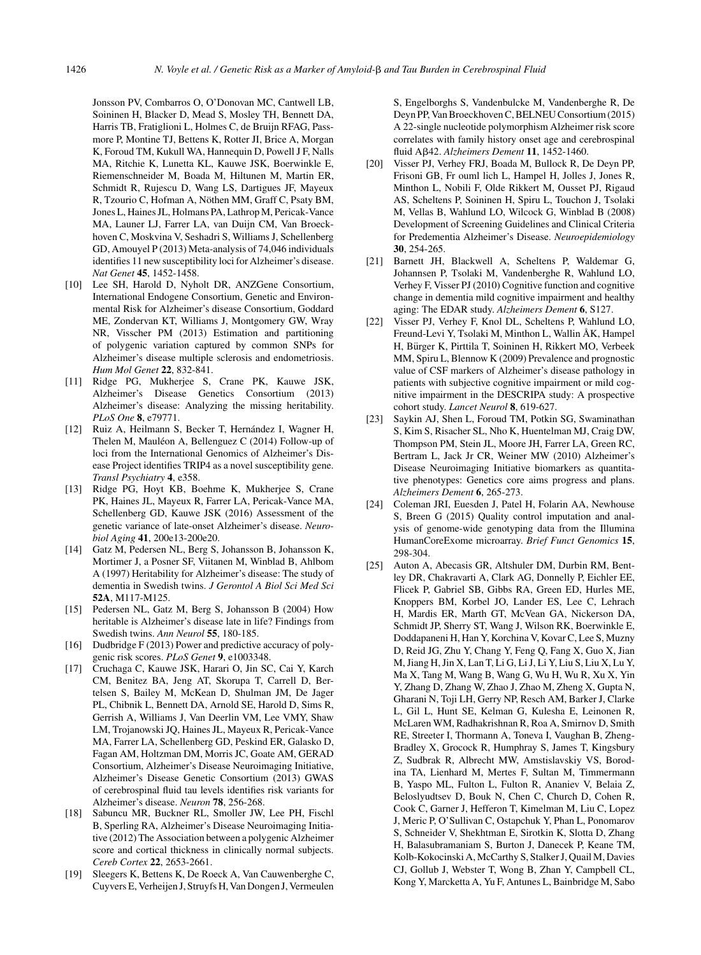Jonsson PV, Combarros O, O'Donovan MC, Cantwell LB, Soininen H, Blacker D, Mead S, Mosley TH, Bennett DA, Harris TB, Fratiglioni L, Holmes C, de Bruijn RFAG, Passmore P, Montine TJ, Bettens K, Rotter JI, Brice A, Morgan K, Foroud TM, Kukull WA, Hannequin D, Powell J F, Nalls MA, Ritchie K, Lunetta KL, Kauwe JSK, Boerwinkle E, Riemenschneider M, Boada M, Hiltunen M, Martin ER, Schmidt R, Rujescu D, Wang LS, Dartigues JF, Mayeux R, Tzourio C, Hofman A, Nöthen MM, Graff C, Psaty BM, Jones L, Haines JL, Holmans PA, Lathrop M, Pericak-Vance MA, Launer LJ, Farrer LA, van Duijn CM, Van Broeckhoven C, Moskvina V, Seshadri S, Williams J, Schellenberg GD, Amouyel P (2013) Meta-analysis of 74,046 individuals identifies 11 new susceptibility loci for Alzheimer's disease. *Nat Genet* **45**, 1452-1458.

- [10] Lee SH, Harold D, Nyholt DR, ANZGene Consortium, International Endogene Consortium, Genetic and Environmental Risk for Alzheimer's disease Consortium, Goddard ME, Zondervan KT, Williams J, Montgomery GW, Wray NR, Visscher PM (2013) Estimation and partitioning of polygenic variation captured by common SNPs for Alzheimer's disease multiple sclerosis and endometriosis. *Hum Mol Genet* **22**, 832-841.
- [11] Ridge PG, Mukherjee S, Crane PK, Kauwe JSK, Alzheimer's Disease Genetics Consortium (2013) Alzheimer's disease: Analyzing the missing heritability. *PLoS One* **8**, e79771.
- [12] Ruiz A, Heilmann S, Becker T, Hernández I, Wagner H, Thelen M, Mauléon A, Bellenguez C (2014) Follow-up of loci from the International Genomics of Alzheimer's Disease Project identifies TRIP4 as a novel susceptibility gene. *Transl Psychiatry* **4**, e358.
- [13] Ridge PG, Hoyt KB, Boehme K, Mukherjee S, Crane PK, Haines JL, Mayeux R, Farrer LA, Pericak-Vance MA, Schellenberg GD, Kauwe JSK (2016) Assessment of the genetic variance of late-onset Alzheimer's disease. *Neurobiol Aging* **41**, 200e13-200e20.
- [14] Gatz M, Pedersen NL, Berg S, Johansson B, Johansson K, Mortimer J, a Posner SF, Viitanen M, Winblad B, Ahlbom A (1997) Heritability for Alzheimer's disease: The study of dementia in Swedish twins. *J Gerontol A Biol Sci Med Sci* **52A**, M117-M125.
- [15] Pedersen NL, Gatz M, Berg S, Johansson B (2004) How heritable is Alzheimer's disease late in life? Findings from Swedish twins. *Ann Neurol* **55**, 180-185.
- [16] Dudbridge F (2013) Power and predictive accuracy of polygenic risk scores. *PLoS Genet* **9**, e1003348.
- [17] Cruchaga C, Kauwe JSK, Harari O, Jin SC, Cai Y, Karch CM, Benitez BA, Jeng AT, Skorupa T, Carrell D, Bertelsen S, Bailey M, McKean D, Shulman JM, De Jager PL, Chibnik L, Bennett DA, Arnold SE, Harold D, Sims R, Gerrish A, Williams J, Van Deerlin VM, Lee VMY, Shaw LM, Trojanowski JQ, Haines JL, Mayeux R, Pericak-Vance MA, Farrer LA, Schellenberg GD, Peskind ER, Galasko D, Fagan AM, Holtzman DM, Morris JC, Goate AM, GERAD Consortium, Alzheimer's Disease Neuroimaging Initiative, Alzheimer's Disease Genetic Consortium (2013) GWAS of cerebrospinal fluid tau levels identifies risk variants for Alzheimer's disease. *Neuron* **78**, 256-268.
- [18] Sabuncu MR, Buckner RL, Smoller JW, Lee PH, Fischl B, Sperling RA, Alzheimer's Disease Neuroimaging Initiative (2012) The Association between a polygenic Alzheimer score and cortical thickness in clinically normal subjects. *Cereb Cortex* **22**, 2653-2661.
- [19] Sleegers K, Bettens K, De Roeck A, Van Cauwenberghe C, Cuyvers E, Verheijen J, Struyfs H, Van Dongen J, Vermeulen

S, Engelborghs S, Vandenbulcke M, Vandenberghe R, De Deyn PP, Van Broeckhoven C, BELNEU Consortium (2015) A 22-single nucleotide polymorphism Alzheimer risk score correlates with family history onset age and cerebrospinal fluid Aβ42. Alzheimers Dement **11**, 1452-1460.

- [20] Visser PJ, Verhey FRJ, Boada M, Bullock R, De Deyn PP, Frisoni GB, Fr ouml lich L, Hampel H, Jolles J, Jones R, Minthon L, Nobili F, Olde Rikkert M, Ousset PJ, Rigaud AS, Scheltens P, Soininen H, Spiru L, Touchon J, Tsolaki M, Vellas B, Wahlund LO, Wilcock G, Winblad B (2008) Development of Screening Guidelines and Clinical Criteria for Predementia Alzheimer's Disease. *Neuroepidemiology* **30**, 254-265.
- [21] Barnett JH, Blackwell A, Scheltens P, Waldemar G, Johannsen P, Tsolaki M, Vandenberghe R, Wahlund LO, Verhey F, Visser PJ (2010) Cognitive function and cognitive change in dementia mild cognitive impairment and healthy aging: The EDAR study. *Alzheimers Dement* **6**, S127.
- [22] Visser PJ, Verhey F, Knol DL, Scheltens P, Wahlund LO, Freund-Levi Y, Tsolaki M, Minthon L, Wallin ÅK, Hampel H, Burger K, Pirttila T, Soininen H, Rikkert MO, Verbeek ¨ MM, Spiru L, Blennow K (2009) Prevalence and prognostic value of CSF markers of Alzheimer's disease pathology in patients with subjective cognitive impairment or mild cognitive impairment in the DESCRIPA study: A prospective cohort study. *Lancet Neurol* **8**, 619-627.
- [23] Saykin AJ, Shen L, Foroud TM, Potkin SG, Swaminathan S, Kim S, Risacher SL, Nho K, Huentelman MJ, Craig DW, Thompson PM, Stein JL, Moore JH, Farrer LA, Green RC, Bertram L, Jack Jr CR, Weiner MW (2010) Alzheimer's Disease Neuroimaging Initiative biomarkers as quantitative phenotypes: Genetics core aims progress and plans. *Alzheimers Dement* **6**, 265-273.
- [24] Coleman JRI, Euesden J, Patel H, Folarin AA, Newhouse S, Breen G (2015) Quality control imputation and analysis of genome-wide genotyping data from the Illumina HumanCoreExome microarray. *Brief Funct Genomics* **15**, 298-304.
- [25] Auton A, Abecasis GR, Altshuler DM, Durbin RM, Bentley DR, Chakravarti A, Clark AG, Donnelly P, Eichler EE, Flicek P, Gabriel SB, Gibbs RA, Green ED, Hurles ME, Knoppers BM, Korbel JO, Lander ES, Lee C, Lehrach H, Mardis ER, Marth GT, McVean GA, Nickerson DA, Schmidt JP, Sherry ST, Wang J, Wilson RK, Boerwinkle E, Doddapaneni H, Han Y, Korchina V, Kovar C, Lee S, Muzny D, Reid JG, Zhu Y, Chang Y, Feng Q, Fang X, Guo X, Jian M, Jiang H, Jin X, Lan T, Li G, Li J, Li Y, Liu S, Liu X, Lu Y, Ma X, Tang M, Wang B, Wang G, Wu H, Wu R, Xu X, Yin Y, Zhang D, Zhang W, Zhao J, Zhao M, Zheng X, Gupta N, Gharani N, Toji LH, Gerry NP, Resch AM, Barker J, Clarke L, Gil L, Hunt SE, Kelman G, Kulesha E, Leinonen R, McLaren WM, Radhakrishnan R, Roa A, Smirnov D, Smith RE, Streeter I, Thormann A, Toneva I, Vaughan B, Zheng-Bradley X, Grocock R, Humphray S, James T, Kingsbury Z, Sudbrak R, Albrecht MW, Amstislavskiy VS, Borodina TA, Lienhard M, Mertes F, Sultan M, Timmermann B, Yaspo ML, Fulton L, Fulton R, Ananiev V, Belaia Z, Beloslyudtsev D, Bouk N, Chen C, Church D, Cohen R, Cook C, Garner J, Hefferon T, Kimelman M, Liu C, Lopez J, Meric P, O'Sullivan C, Ostapchuk Y, Phan L, Ponomarov S, Schneider V, Shekhtman E, Sirotkin K, Slotta D, Zhang H, Balasubramaniam S, Burton J, Danecek P, Keane TM, Kolb-Kokocinski A, McCarthy S, Stalker J, Quail M, Davies CJ, Gollub J, Webster T, Wong B, Zhan Y, Campbell CL, Kong Y, Marcketta A, Yu F, Antunes L, Bainbridge M, Sabo